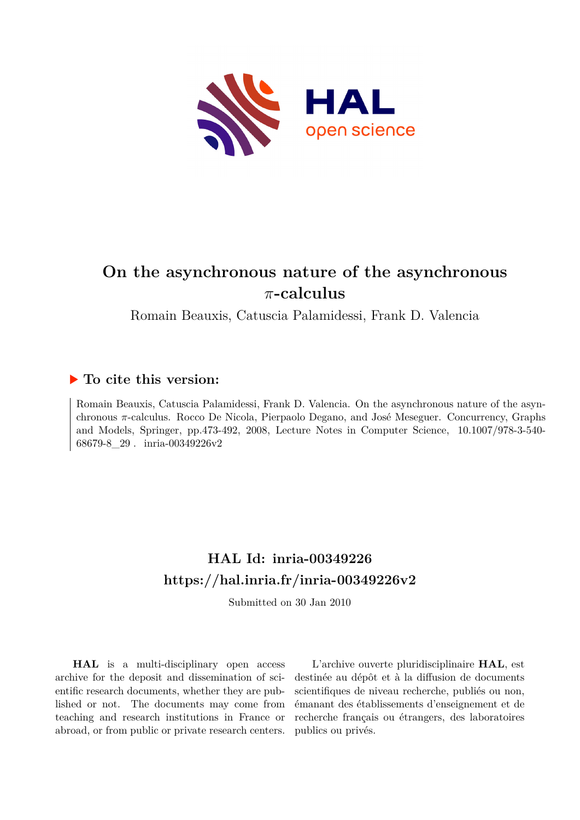

# **On the asynchronous nature of the asynchronous** *π***-calculus**

Romain Beauxis, Catuscia Palamidessi, Frank D. Valencia

# **To cite this version:**

Romain Beauxis, Catuscia Palamidessi, Frank D. Valencia. On the asynchronous nature of the asynchronous *π*-calculus. Rocco De Nicola, Pierpaolo Degano, and José Meseguer. Concurrency, Graphs and Models, Springer, pp.473-492, 2008, Lecture Notes in Computer Science,  $10.1007/978-3-540-$ 68679-8 29 . inria-00349226v2

# **HAL Id: inria-00349226 <https://hal.inria.fr/inria-00349226v2>**

Submitted on 30 Jan 2010

**HAL** is a multi-disciplinary open access archive for the deposit and dissemination of scientific research documents, whether they are published or not. The documents may come from teaching and research institutions in France or abroad, or from public or private research centers.

L'archive ouverte pluridisciplinaire **HAL**, est destinée au dépôt et à la diffusion de documents scientifiques de niveau recherche, publiés ou non, émanant des établissements d'enseignement et de recherche français ou étrangers, des laboratoires publics ou privés.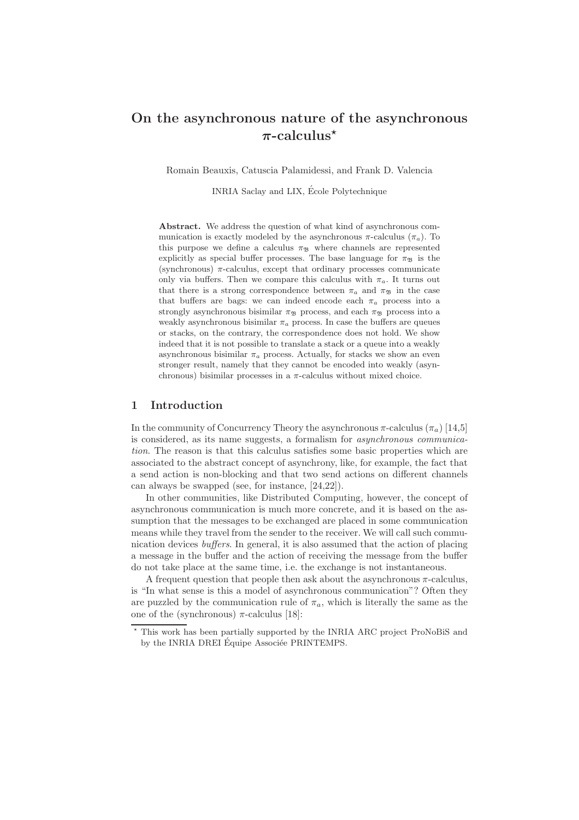# On the asynchronous nature of the asynchronous  $\pi$ -calculus<sup>\*</sup>

Romain Beauxis, Catuscia Palamidessi, and Frank D. Valencia

INRIA Saclay and LIX, Ecole Polytechnique ´

Abstract. We address the question of what kind of asynchronous communication is exactly modeled by the asynchronous  $\pi$ -calculus  $(\pi_a)$ . To this purpose we define a calculus  $\pi_{\mathfrak{B}}$  where channels are represented explicitly as special buffer processes. The base language for  $\pi_{\mathcal{B}}$  is the (synchronous)  $\pi$ -calculus, except that ordinary processes communicate only via buffers. Then we compare this calculus with  $\pi_a$ . It turns out that there is a strong correspondence between  $\pi_a$  and  $\pi_{\mathfrak{B}}$  in the case that buffers are bags: we can indeed encode each  $\pi_a$  process into a strongly asynchronous bisimilar  $\pi_{\mathcal{B}}$  process, and each  $\pi_{\mathcal{B}}$  process into a weakly asynchronous bisimilar  $\pi_a$  process. In case the buffers are queues or stacks, on the contrary, the correspondence does not hold. We show indeed that it is not possible to translate a stack or a queue into a weakly asynchronous bisimilar  $\pi_a$  process. Actually, for stacks we show an even stronger result, namely that they cannot be encoded into weakly (asynchronous) bisimilar processes in a  $\pi$ -calculus without mixed choice.

# 1 Introduction

In the community of Concurrency Theory the asynchronous  $\pi$ -calculus ( $\pi_a$ ) [14,5] is considered, as its name suggests, a formalism for *asynchronous communication*. The reason is that this calculus satisfies some basic properties which are associated to the abstract concept of asynchrony, like, for example, the fact that a send action is non-blocking and that two send actions on different channels can always be swapped (see, for instance, [24,22]).

In other communities, like Distributed Computing, however, the concept of asynchronous communication is much more concrete, and it is based on the assumption that the messages to be exchanged are placed in some communication means while they travel from the sender to the receiver. We will call such communication devices *buffers*. In general, it is also assumed that the action of placing a message in the buffer and the action of receiving the message from the buffer do not take place at the same time, i.e. the exchange is not instantaneous.

A frequent question that people then ask about the asynchronous  $\pi$ -calculus, is "In what sense is this a model of asynchronous communication"? Often they are puzzled by the communication rule of  $\pi_a$ , which is literally the same as the one of the (synchronous)  $π$ -calculus [18]:

<sup>⋆</sup> This work has been partially supported by the INRIA ARC project ProNoBiS and by the INRIA DREI Équipe Associée PRINTEMPS.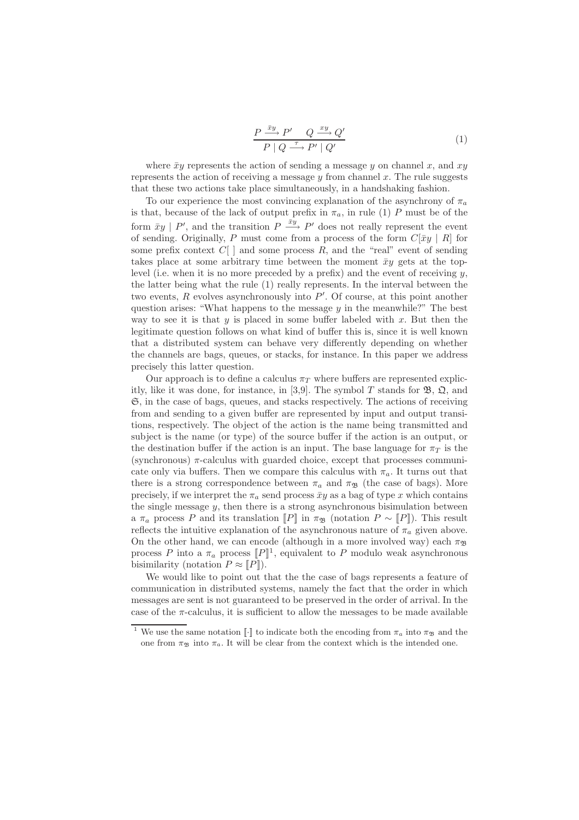$$
\frac{P \xrightarrow{\bar{x}y} P' \quad Q \xrightarrow{xy} Q'}{P \mid Q \xrightarrow{\tau} P' \mid Q'} \tag{1}
$$

where  $\bar{x}y$  represents the action of sending a message y on channel x, and xy represents the action of receiving a message  $\eta$  from channel x. The rule suggests that these two actions take place simultaneously, in a handshaking fashion.

To our experience the most convincing explanation of the asynchrony of  $\pi_a$ is that, because of the lack of output prefix in  $\pi_a$ , in rule (1) P must be of the form  $\bar{x}y \mid P'$ , and the transition  $P \stackrel{\bar{x}y}{\longrightarrow} P'$  does not really represent the event of sending. Originally, P must come from a process of the form  $C[\bar{x}y | R]$  for some prefix context  $C[\ ]$  and some process  $R$ , and the "real" event of sending takes place at some arbitrary time between the moment  $\bar{x}y$  gets at the toplevel (i.e. when it is no more preceded by a prefix) and the event of receiving  $y$ . the latter being what the rule (1) really represents. In the interval between the two events,  $R$  evolves asynchronously into  $P'$ . Of course, at this point another question arises: "What happens to the message  $y$  in the meanwhile?" The best way to see it is that  $y$  is placed in some buffer labeled with  $x$ . But then the legitimate question follows on what kind of buffer this is, since it is well known that a distributed system can behave very differently depending on whether the channels are bags, queues, or stacks, for instance. In this paper we address precisely this latter question.

Our approach is to define a calculus  $\pi_T$  where buffers are represented explicitly, like it was done, for instance, in [3,9]. The symbol T stands for  $\mathfrak{B}, \mathfrak{Q},$  and S, in the case of bags, queues, and stacks respectively. The actions of receiving from and sending to a given buffer are represented by input and output transitions, respectively. The object of the action is the name being transmitted and subject is the name (or type) of the source buffer if the action is an output, or the destination buffer if the action is an input. The base language for  $\pi_T$  is the (synchronous)  $\pi$ -calculus with guarded choice, except that processes communicate only via buffers. Then we compare this calculus with  $\pi_a$ . It turns out that there is a strong correspondence between  $\pi_a$  and  $\pi_{\mathfrak{B}}$  (the case of bags). More precisely, if we interpret the  $\pi_a$  send process  $\bar{xy}$  as a bag of type x which contains the single message  $y$ , then there is a strong asynchronous bisimulation between a  $\pi_a$  process P and its translation  $[[P]]$  in  $\pi_{\mathfrak{B}}$  (notation  $P \sim [[P]]$ ). This result reflects the intuitive explanation of the asynchronous nature of  $\pi_a$  given above. On the other hand, we can encode (although in a more involved way) each  $\pi_{\mathfrak{B}}$ process P into a  $\pi_a$  process  $[P]^1$ , equivalent to P modulo weak asynchronous bisimilarity (notation  $P \approx [P]$ ).

We would like to point out that the the case of bags represents a feature of communication in distributed systems, namely the fact that the order in which messages are sent is not guaranteed to be preserved in the order of arrival. In the case of the  $\pi$ -calculus, it is sufficient to allow the messages to be made available

<sup>&</sup>lt;sup>1</sup> We use the same notation [[·]] to indicate both the encoding from  $\pi_a$  into  $\pi_{\mathfrak{B}}$  and the one from  $\pi_{\mathfrak{B}}$  into  $\pi_a$ . It will be clear from the context which is the intended one.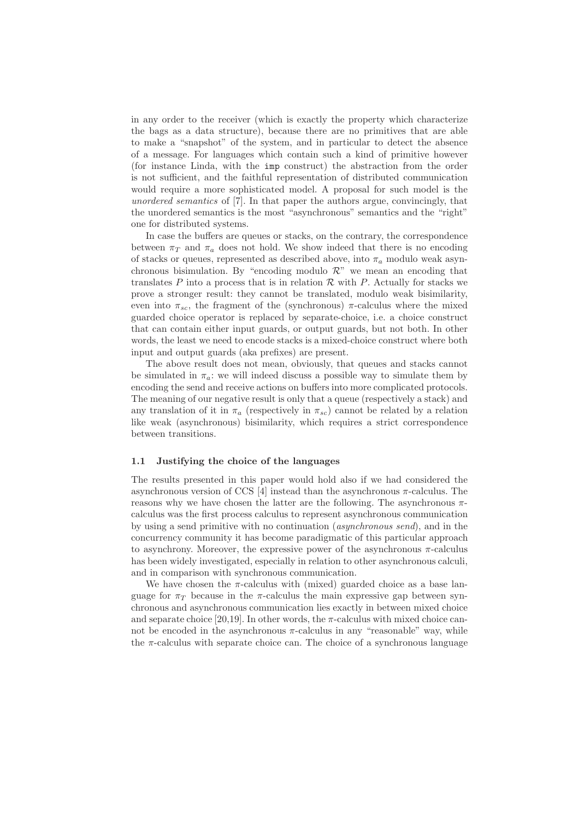in any order to the receiver (which is exactly the property which characterize the bags as a data structure), because there are no primitives that are able to make a "snapshot" of the system, and in particular to detect the absence of a message. For languages which contain such a kind of primitive however (for instance Linda, with the imp construct) the abstraction from the order is not sufficient, and the faithful representation of distributed communication would require a more sophisticated model. A proposal for such model is the *unordered semantics* of [7]. In that paper the authors argue, convincingly, that the unordered semantics is the most "asynchronous" semantics and the "right" one for distributed systems.

In case the buffers are queues or stacks, on the contrary, the correspondence between  $\pi_T$  and  $\pi_a$  does not hold. We show indeed that there is no encoding of stacks or queues, represented as described above, into  $\pi_a$  modulo weak asynchronous bisimulation. By "encoding modulo  $\mathcal{R}$ " we mean an encoding that translates  $P$  into a process that is in relation  $R$  with  $P$ . Actually for stacks we prove a stronger result: they cannot be translated, modulo weak bisimilarity, even into  $\pi_{sc}$ , the fragment of the (synchronous)  $\pi$ -calculus where the mixed guarded choice operator is replaced by separate-choice, i.e. a choice construct that can contain either input guards, or output guards, but not both. In other words, the least we need to encode stacks is a mixed-choice construct where both input and output guards (aka prefixes) are present.

The above result does not mean, obviously, that queues and stacks cannot be simulated in  $\pi_a$ : we will indeed discuss a possible way to simulate them by encoding the send and receive actions on buffers into more complicated protocols. The meaning of our negative result is only that a queue (respectively a stack) and any translation of it in  $\pi_a$  (respectively in  $\pi_{sc}$ ) cannot be related by a relation like weak (asynchronous) bisimilarity, which requires a strict correspondence between transitions.

#### 1.1 Justifying the choice of the languages

The results presented in this paper would hold also if we had considered the asynchronous version of CCS [4] instead than the asynchronous  $\pi$ -calculus. The reasons why we have chosen the latter are the following. The asynchronous  $\pi$ calculus was the first process calculus to represent asynchronous communication by using a send primitive with no continuation (*asynchronous send*), and in the concurrency community it has become paradigmatic of this particular approach to asynchrony. Moreover, the expressive power of the asynchronous  $\pi$ -calculus has been widely investigated, especially in relation to other asynchronous calculi, and in comparison with synchronous communication.

We have chosen the  $\pi$ -calculus with (mixed) guarded choice as a base language for  $\pi_T$  because in the  $\pi$ -calculus the main expressive gap between synchronous and asynchronous communication lies exactly in between mixed choice and separate choice [20,19]. In other words, the  $\pi$ -calculus with mixed choice cannot be encoded in the asynchronous  $\pi$ -calculus in any "reasonable" way, while the  $\pi$ -calculus with separate choice can. The choice of a synchronous language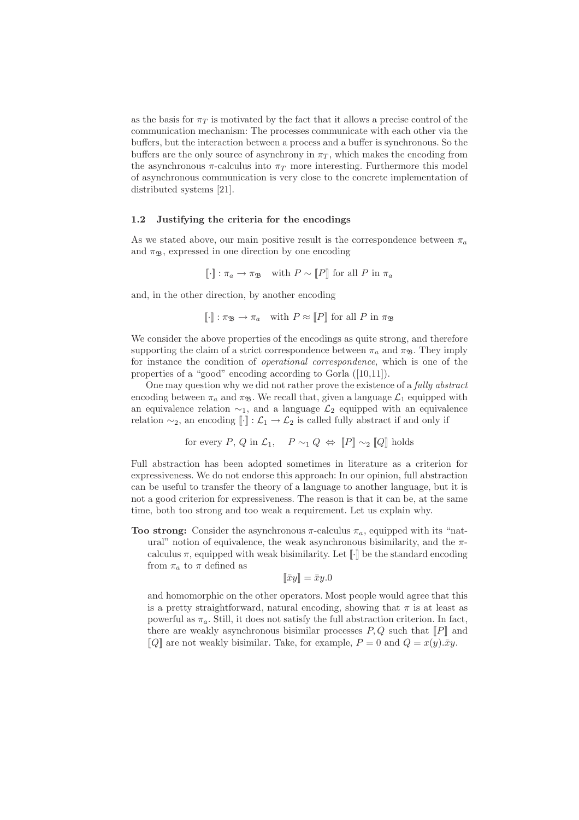as the basis for  $\pi_T$  is motivated by the fact that it allows a precise control of the communication mechanism: The processes communicate with each other via the buffers, but the interaction between a process and a buffer is synchronous. So the buffers are the only source of asynchrony in  $\pi_T$ , which makes the encoding from the asynchronous  $\pi$ -calculus into  $\pi_T$  more interesting. Furthermore this model of asynchronous communication is very close to the concrete implementation of distributed systems [21].

#### 1.2 Justifying the criteria for the encodings

As we stated above, our main positive result is the correspondence between  $\pi_a$ and  $\pi_{\mathfrak{B}}$ , expressed in one direction by one encoding

$$
[\![\cdot]\!]
$$
:  $\pi_a \to \pi_{\mathfrak{B}}$  with  $P \sim [\![P]\!]$  for all P in  $\pi_a$ 

and, in the other direction, by another encoding

$$
[\![\cdot]\!]
$$
:  $\pi_{\mathfrak{B}} \to \pi_a$  with  $P \approx [P]$  for all P in  $\pi_{\mathfrak{B}}$ 

We consider the above properties of the encodings as quite strong, and therefore supporting the claim of a strict correspondence between  $\pi_a$  and  $\pi_{\mathfrak{B}}$ . They imply for instance the condition of *operational correspondence*, which is one of the properties of a "good" encoding according to Gorla ([10,11]).

One may question why we did not rather prove the existence of a *fully abstract* encoding between  $\pi_a$  and  $\pi_{\mathfrak{B}}$ . We recall that, given a language  $\mathcal{L}_1$  equipped with an equivalence relation  $\sim_1$ , and a language  $\mathcal{L}_2$  equipped with an equivalence relation  $\sim_2$ , an encoding  $\lbrack \cdot \rbrack$  :  $\mathcal{L}_1 \to \mathcal{L}_2$  is called fully abstract if and only if

for every P, Q in 
$$
\mathcal{L}_1
$$
,  $P \sim_1 Q \Leftrightarrow [P] \sim_2 [Q]$  holds

Full abstraction has been adopted sometimes in literature as a criterion for expressiveness. We do not endorse this approach: In our opinion, full abstraction can be useful to transfer the theory of a language to another language, but it is not a good criterion for expressiveness. The reason is that it can be, at the same time, both too strong and too weak a requirement. Let us explain why.

Too strong: Consider the asynchronous  $\pi$ -calculus  $\pi_a$ , equipped with its "natural" notion of equivalence, the weak asynchronous bisimilarity, and the  $\pi$ calculus  $\pi$ , equipped with weak bisimilarity. Let  $\llbracket \cdot \rrbracket$  be the standard encoding from  $\pi_a$  to  $\pi$  defined as

$$
\llbracket \bar{x}y \rrbracket = \bar{x}y.0
$$

and homomorphic on the other operators. Most people would agree that this is a pretty straightforward, natural encoding, showing that  $\pi$  is at least as powerful as  $\pi_a$ . Still, it does not satisfy the full abstraction criterion. In fact, there are weakly asynchronous bisimilar processes  $P, Q$  such that  $\llbracket P \rrbracket$  and  $\llbracket Q \rrbracket$  are not weakly bisimilar. Take, for example,  $P = 0$  and  $Q = x(y) \cdot \bar{x}y$ .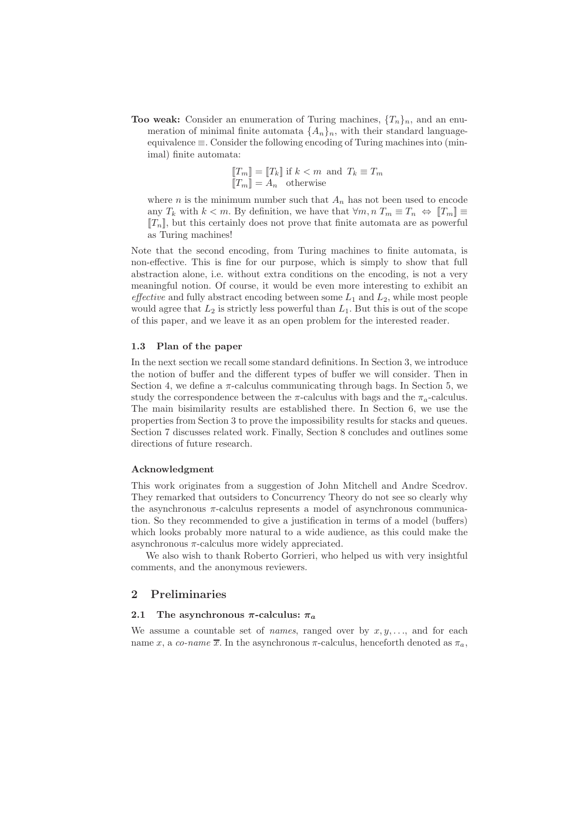**Too weak:** Consider an enumeration of Turing machines,  $\{T_n\}_n$ , and an enumeration of minimal finite automata  $\{A_n\}_n$ , with their standard languageequivalence ≡. Consider the following encoding of Turing machines into (minimal) finite automata:

$$
\begin{aligned} \llbracket T_m \rrbracket &= \llbracket T_k \rrbracket \text{ if } k < m \text{ and } T_k \equiv T_m \\ \llbracket T_m \rrbracket &= A_n \text{ otherwise} \end{aligned}
$$

where *n* is the minimum number such that  $A_n$  has not been used to encode any  $T_k$  with  $k < m$ . By definition, we have that  $\forall m, n \ T_m \equiv T_n \Leftrightarrow \|T_m\| \equiv$  $[[T_n]]$ , but this certainly does not prove that finite automata are as powerful as Turing machines!

Note that the second encoding, from Turing machines to finite automata, is non-effective. This is fine for our purpose, which is simply to show that full abstraction alone, i.e. without extra conditions on the encoding, is not a very meaningful notion. Of course, it would be even more interesting to exhibit an *effective* and fully abstract encoding between some  $L_1$  and  $L_2$ , while most people would agree that  $L_2$  is strictly less powerful than  $L_1$ . But this is out of the scope of this paper, and we leave it as an open problem for the interested reader.

#### 1.3 Plan of the paper

In the next section we recall some standard definitions. In Section 3, we introduce the notion of buffer and the different types of buffer we will consider. Then in Section 4, we define a  $\pi$ -calculus communicating through bags. In Section 5, we study the correspondence between the  $\pi$ -calculus with bags and the  $\pi_a$ -calculus. The main bisimilarity results are established there. In Section 6, we use the properties from Section 3 to prove the impossibility results for stacks and queues. Section 7 discusses related work. Finally, Section 8 concludes and outlines some directions of future research.

#### Acknowledgment

This work originates from a suggestion of John Mitchell and Andre Scedrov. They remarked that outsiders to Concurrency Theory do not see so clearly why the asynchronous  $\pi$ -calculus represents a model of asynchronous communication. So they recommended to give a justification in terms of a model (buffers) which looks probably more natural to a wide audience, as this could make the asynchronous  $\pi$ -calculus more widely appreciated.

We also wish to thank Roberto Gorrieri, who helped us with very insightful comments, and the anonymous reviewers.

# 2 Preliminaries

#### 2.1 The asynchronous  $\pi$ -calculus:  $\pi_a$

We assume a countable set of *names*, ranged over by  $x, y, \ldots$ , and for each name x, a co-name  $\overline{x}$ . In the asynchronous  $\pi$ -calculus, henceforth denoted as  $\pi_a$ ,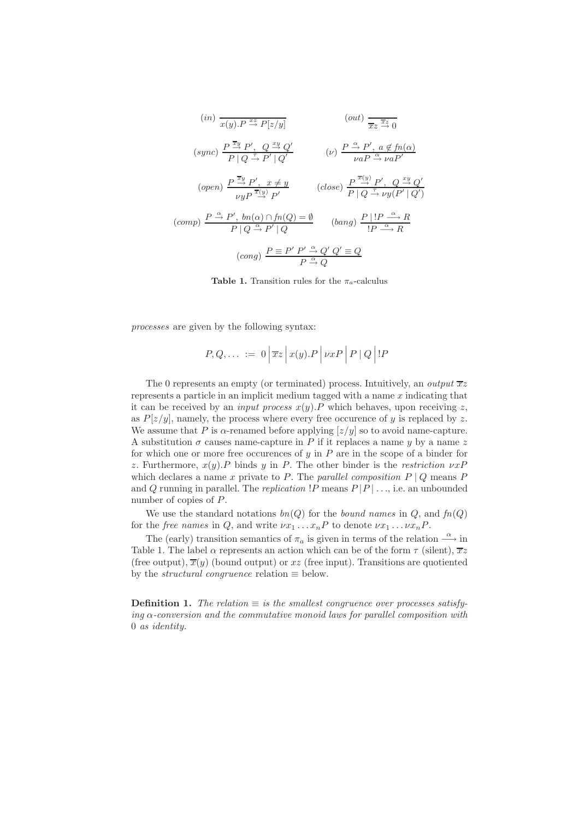$$
(in) \frac{1}{x(y).P} \xrightarrow{x} P[z/y]
$$
\n
$$
(out) \frac{1}{xz} \xrightarrow{\overline{x}} 0
$$
\n
$$
(sync) \frac{P \xrightarrow{\overline{x}y} P', Q \xrightarrow{xy} Q'}{P|Q \xrightarrow{f} P'|Q'}
$$
\n
$$
(v) \frac{P \xrightarrow{\alpha} P', a \notin fn(\alpha)}{v a P \xrightarrow{\alpha} v a P'}
$$
\n
$$
(open) \frac{P \xrightarrow{\overline{x}y} P', x \neq y}{v y P \xrightarrow{\overline{x}(y)} P'} \qquad (close) \frac{P \xrightarrow{\overline{x}(y)} P', Q \xrightarrow{xy} Q'}{P|Q \xrightarrow{f} v y (P'|Q')}
$$
\n
$$
(comp) \frac{P \xrightarrow{\alpha} P', bn(\alpha) \cap fn(Q) = \emptyset}{P|Q \xrightarrow{\alpha} P'|Q} \qquad (bang) \frac{P|!P \xrightarrow{\alpha} R}{!P \xrightarrow{\alpha} R}
$$
\n
$$
(cong) \frac{P \equiv P' P' \xrightarrow{\alpha} Q' Q' \equiv Q}{P \xrightarrow{\alpha} Q}
$$

**Table 1.** Transition rules for the  $\pi_a$ -calculus

*processes* are given by the following syntax:

$$
P, Q, \ldots := 0 \left| \overline{x}z \right| x(y).P \left| \nu xP \right| P \left| Q \right| !P
$$

The 0 represents an empty (or terminated) process. Intuitively, an *output*  $\overline{x}z$ represents a particle in an implicit medium tagged with a name  $x$  indicating that it can be received by an *input process*  $x(y)$ . P which behaves, upon receiving z, as  $P[z/y]$ , namely, the process where every free occurence of y is replaced by z. We assume that P is  $\alpha$ -renamed before applying  $[z/y]$  so to avoid name-capture. A substitution  $\sigma$  causes name-capture in P if it replaces a name y by a name z for which one or more free occurences of  $y$  in  $P$  are in the scope of a binder for z. Furthermore,  $x(y)$ . P binds y in P. The other binder is the *restriction*  $\nu x$ P which declares a name x private to P. The *parallel composition*  $P \mid Q$  means P and Q running in parallel. The *replication*  $|P$  means  $P|P|$  ..., i.e. an unbounded number of copies of P.

We use the standard notations  $bn(Q)$  for the *bound names* in  $Q$ , and  $fn(Q)$ for the *free names* in Q, and write  $\nu x_1 \ldots x_n P$  to denote  $\nu x_1 \ldots \nu x_n P$ .

The (early) transition semantics of  $\pi_a$  is given in terms of the relation  $\stackrel{\alpha}{\longrightarrow}$  in Table 1. The label  $\alpha$  represents an action which can be of the form  $\tau$  (silent),  $\overline{x}z$ (free output),  $\overline{x}(y)$  (bound output) or xz (free input). Transitions are quotiented by the *structural congruence* relation  $\equiv$  below.

**Definition 1.** The relation  $\equiv$  *is the smallest congruence over processes satisfying* α*-conversion and the commutative monoid laws for parallel composition with* 0 *as identity.*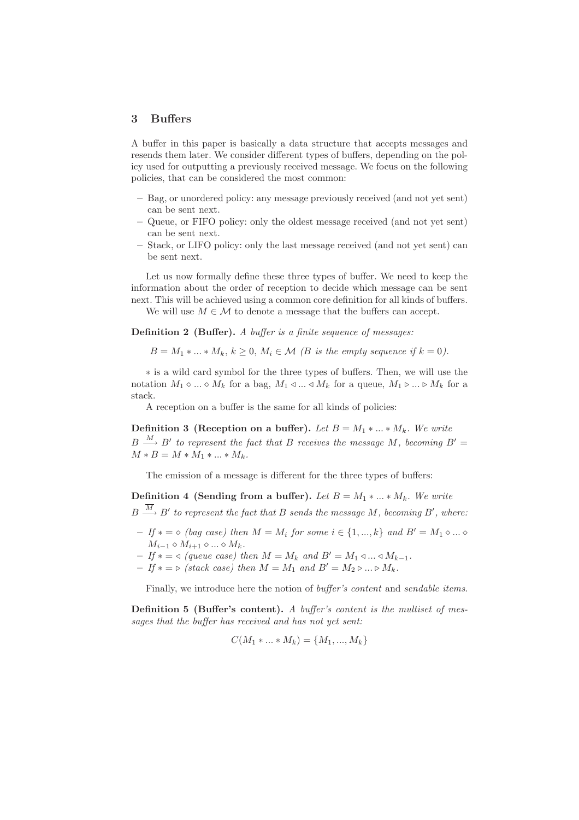## 3 Buffers

A buffer in this paper is basically a data structure that accepts messages and resends them later. We consider different types of buffers, depending on the policy used for outputting a previously received message. We focus on the following policies, that can be considered the most common:

- Bag, or unordered policy: any message previously received (and not yet sent) can be sent next.
- Queue, or FIFO policy: only the oldest message received (and not yet sent) can be sent next.
- Stack, or LIFO policy: only the last message received (and not yet sent) can be sent next.

Let us now formally define these three types of buffer. We need to keep the information about the order of reception to decide which message can be sent next. This will be achieved using a common core definition for all kinds of buffers.

We will use  $M \in \mathcal{M}$  to denote a message that the buffers can accept.

Definition 2 (Buffer). *A buffer is a finite sequence of messages:*

 $B = M_1 * ... * M_k, k \geq 0, M_i \in \mathcal{M}$  (B is the empty sequence if  $k = 0$ ).

∗ is a wild card symbol for the three types of buffers. Then, we will use the notation  $M_1 \diamond ... \diamond M_k$  for a bag,  $M_1 \triangleleft ... \triangleleft M_k$  for a queue,  $M_1 \triangleright ... \triangleright M_k$  for a stack.

A reception on a buffer is the same for all kinds of policies:

**Definition 3 (Reception on a buffer).** *Let*  $B = M_1 * ... * M_k$ *. We write*  $B \stackrel{M}{\longrightarrow} B'$  to represent the fact that B receives the message M, becoming  $B' =$  $M * B = M * M_1 * ... * M_k$ .

The emission of a message is different for the three types of buffers:

**Definition 4 (Sending from a buffer).** *Let*  $B = M_1 * ... * M_k$ . We write

 $B \stackrel{M}{\longrightarrow} B'$  to represent the fact that  $B$  sends the message  $M$ , becoming  $B'$ , where:

- $-If* = ∞ (bag case) then M = M<sub>i</sub> for some i ∈ {1, ..., k} and B' = M<sub>1</sub> ∘ ... ∘$  $M_{i-1} \diamond M_{i+1} \diamond \dots \diamond M_k$ .
- $-If* = \text{ ⊗ } (queue \ case) \ then \ M = M_k \ and \ B' = M_1 \text{ ⊂ } ... \text{ ⊗ } M_{k-1}.$
- $-If* = ∑ (stack case) then M = M<sub>1</sub> and B' = M<sub>2</sub> ∑ ... ∑ M<sub>k</sub>.$

Finally, we introduce here the notion of *buffer's content* and *sendable items*.

Definition 5 (Buffer's content). *A buffer's content is the multiset of messages that the buffer has received and has not yet sent:*

$$
C(M_1 * ... * M_k) = \{M_1, ..., M_k\}
$$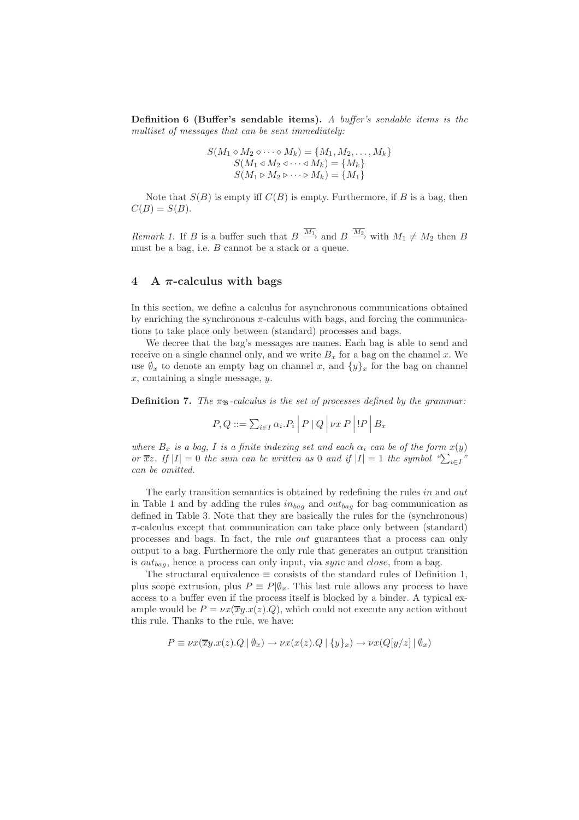Definition 6 (Buffer's sendable items). *A buffer's sendable items is the multiset of messages that can be sent immediately:*

$$
S(M_1 \diamond M_2 \diamond \cdots \diamond M_k) = \{M_1, M_2, \dots, M_k\}
$$
  
\n
$$
S(M_1 \triangleleft M_2 \triangleleft \cdots \triangleleft M_k) = \{M_k\}
$$
  
\n
$$
S(M_1 \triangleright M_2 \triangleright \cdots \triangleright M_k) = \{M_1\}
$$

Note that  $S(B)$  is empty iff  $C(B)$  is empty. Furthermore, if B is a bag, then  $C(B) = S(B).$ 

*Remark 1.* If B is a buffer such that  $B \xrightarrow{M_1}$  and  $B \xrightarrow{M_2}$  with  $M_1 \neq M_2$  then B must be a bag, i.e.  $B$  cannot be a stack or a queue.

# 4 A  $\pi$ -calculus with bags

In this section, we define a calculus for asynchronous communications obtained by enriching the synchronous  $\pi$ -calculus with bags, and forcing the communications to take place only between (standard) processes and bags.

We decree that the bag's messages are names. Each bag is able to send and receive on a single channel only, and we write  $B_x$  for a bag on the channel x. We use  $\oint_x$  to denote an empty bag on channel x, and  $\{y\}_x$  for the bag on channel  $x$ , containing a single message,  $y$ .

**Definition 7.** *The*  $\pi_{\mathcal{B}}$ -calculus is the set of processes defined by the grammar:

$$
P, Q ::= \sum_{i \in I} \alpha_i P_i \mid P \mid Q \mid \nu x P \mid P \mid B_x
$$

*where*  $B_x$  *is a bag,* I *is a finite indexing set and each*  $\alpha_i$  *can be of the form*  $x(y)$ *or*  $\overline{x}z$ *. If*  $|I| = 0$  *the sum can be written as* 0 *and if*  $|I| = 1$  *the symbol* " $\sum_{i \in I}$ " *can be omitted.*

The early transition semantics is obtained by redefining the rules in and out in Table 1 and by adding the rules  $in_{bag}$  and  $out_{bag}$  for bag communication as defined in Table 3. Note that they are basically the rules for the (synchronous)  $\pi$ -calculus except that communication can take place only between (standard) processes and bags. In fact, the rule out guarantees that a process can only output to a bag. Furthermore the only rule that generates an output transition is  $out_{baq}$ , hence a process can only input, via sync and close, from a bag.

The structural equivalence  $\equiv$  consists of the standard rules of Definition 1, plus scope extrusion, plus  $P \equiv P|\emptyset_x$ . This last rule allows any process to have access to a buffer even if the process itself is blocked by a binder. A typical example would be  $P = \nu x(\overline{x}y.x(z).Q)$ , which could not execute any action without this rule. Thanks to the rule, we have:

$$
P \equiv \nu x(\overline{x}y.x(z).Q \mid \emptyset_x) \rightarrow \nu x(x(z).Q \mid \{y\}_x) \rightarrow \nu x(Q[y/z] \mid \emptyset_x)
$$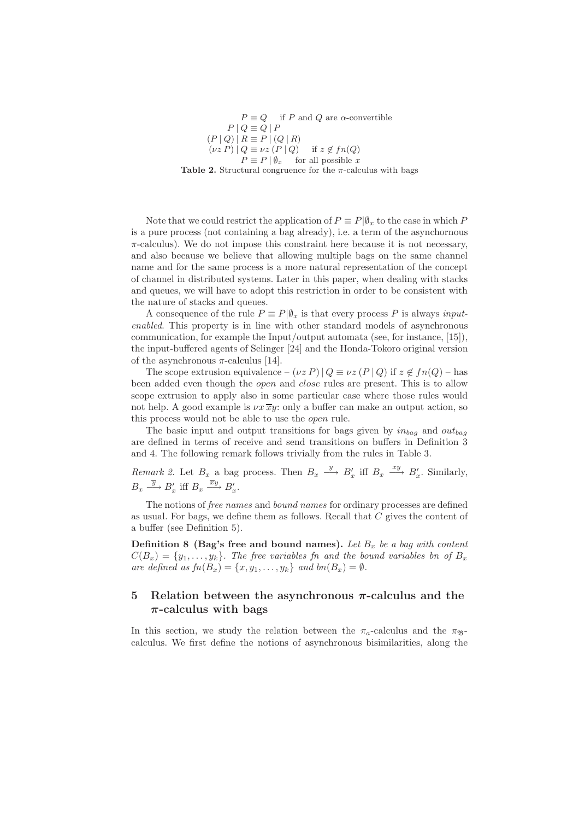$P \equiv Q$  if P and Q are  $\alpha$ -convertible  $P \mid Q \equiv Q \mid P$  $(P | Q) | R \equiv P | (Q | R)$  $(\nu z P) | Q \equiv \nu z (P | Q)$  if  $z \notin fn(Q)$  $P \equiv P | \emptyset_x$  for all possible x

Table 2. Structural congruence for the  $\pi$ -calculus with bags

Note that we could restrict the application of  $P \equiv P|\emptyset_x$  to the case in which P is a pure process (not containing a bag already), i.e. a term of the asynchornous  $\pi$ -calculus). We do not impose this constraint here because it is not necessary, and also because we believe that allowing multiple bags on the same channel name and for the same process is a more natural representation of the concept of channel in distributed systems. Later in this paper, when dealing with stacks and queues, we will have to adopt this restriction in order to be consistent with the nature of stacks and queues.

A consequence of the rule  $P \equiv P | \emptyset_x$  is that every process P is always *inputenabled*. This property is in line with other standard models of asynchronous communication, for example the Input/output automata (see, for instance, [15]), the input-buffered agents of Selinger [24] and the Honda-Tokoro original version of the asynchronous  $\pi$ -calculus [14].

The scope extrusion equivalence –  $(\nu z P) | Q \equiv \nu z (P | Q)$  if  $z \notin fn(Q)$  – has been added even though the *open* and *close* rules are present. This is to allow scope extrusion to apply also in some particular case where those rules would not help. A good example is  $\nu x \overline{x} y$ : only a buffer can make an output action, so this process would not be able to use the open rule.

The basic input and output transitions for bags given by  $in_{bag}$  and  $out_{bag}$ are defined in terms of receive and send transitions on buffers in Definition 3 and 4. The following remark follows trivially from the rules in Table 3.

*Remark 2.* Let  $B_x$  a bag process. Then  $B_x \xrightarrow{y} B'_x$  iff  $B_x \xrightarrow{xy} B'_x$ . Similarly,  $B_x \xrightarrow{\overline{y}} B'_x$  iff  $B_x \xrightarrow{\overline{x}y} B'_x$ .

The notions of *free names* and *bound names* for ordinary processes are defined as usual. For bags, we define them as follows. Recall that  $C$  gives the content of a buffer (see Definition 5).

**Definition 8 (Bag's free and bound names).** Let  $B_x$  be a bag with content  $C(B_x) = \{y_1, \ldots, y_k\}$ . The free variables fn and the bound variables bn of  $B_x$ *are defined as*  $fn(B_x) = \{x, y_1, \ldots, y_k\}$  *and*  $bn(B_x) = \emptyset$ *.* 

# 5 Relation between the asynchronous  $\pi$ -calculus and the  $\pi$ -calculus with bags

In this section, we study the relation between the  $\pi_a$ -calculus and the  $\pi_{\mathcal{B}}$ calculus. We first define the notions of asynchronous bisimilarities, along the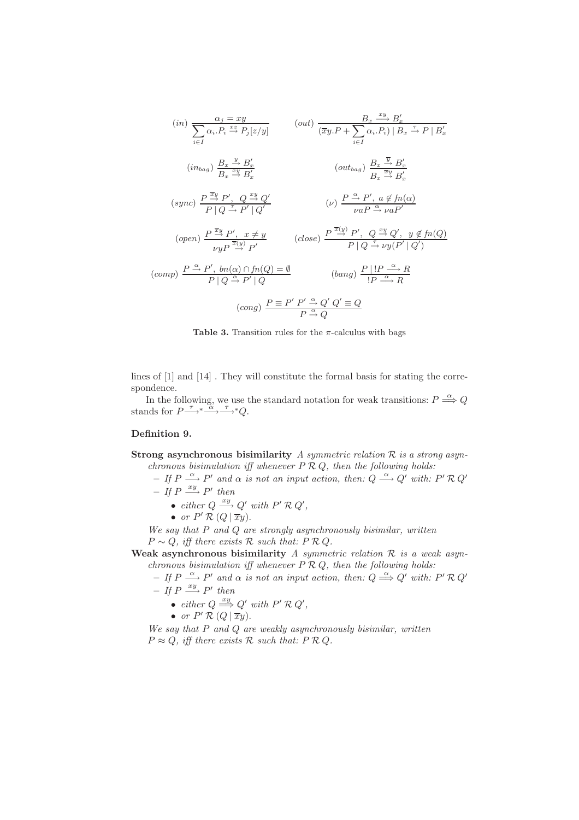$$
(in) \frac{\alpha_j = xy}{\sum_{i \in I} \alpha_i P_i \stackrel{xz}{\rightarrow} P_j[z/y]} \qquad (out) \frac{B_x \stackrel{xy}{\rightarrow} B'_x}{(\overline{x}y.P + \sum_{i \in I} \alpha_i P_i) | B_x \stackrel{\tau}{\rightarrow} P | B'_x}
$$
  

$$
(in_{bag}) \frac{B_x \stackrel{y}{\rightarrow} B'_x}{B_x \stackrel{xy}{\rightarrow} B'_x} \qquad (out_{bag}) \frac{B_x \stackrel{\overline{y}}{\rightarrow} B'_x}{B_x \stackrel{\overline{x}y}{\rightarrow} B'_x}
$$
  

$$
(sync) \frac{P \stackrel{\overline{x}y}{\rightarrow} P', Q \stackrel{xy}{\rightarrow} Q'}{P | Q \stackrel{\tau}{\rightarrow} P' | Q'} \qquad (\nu) \frac{P \stackrel{\alpha}{\rightarrow} P', a \notin fn(\alpha)}{\nu a P \stackrel{\alpha}{\rightarrow} \nu a P'}
$$
  

$$
(open) \frac{P \stackrel{\overline{x}y}{\rightarrow} P', x \neq y}{\nu y P \stackrel{\overline{x}(y)}{\rightarrow} P'} \qquad (close) \frac{P \stackrel{\overline{x}(y)}{\rightarrow} P', Q \stackrel{xy}{\rightarrow} Q', y \notin fn(Q)}{P | Q \stackrel{\tau}{\rightarrow} \nu y (P' | Q')}
$$
  

$$
(comp) \frac{P \stackrel{\alpha}{\rightarrow} P', bn(\alpha) \cap fn(Q) = \emptyset}{P | Q \stackrel{\alpha}{\rightarrow} P' | Q} \qquad (bang) \frac{P | IP \stackrel{\alpha}{\rightarrow} R}{P \stackrel{\alpha}{\rightarrow} R}
$$
  

$$
(cong) \frac{P \stackrel{\alpha}{\rightarrow} P' \stackrel{\alpha}{\rightarrow} Q'}{P \stackrel{\alpha}{\rightarrow} Q}
$$



lines of [1] and [14] . They will constitute the formal basis for stating the correspondence.

In the following, we use the standard notation for weak transitions:  $P \stackrel{\alpha}{\Longrightarrow} Q$ stands for  $P \xrightarrow{\tau}^* \xrightarrow{\alpha}^* \xrightarrow{\tau} Q$ .

## Definition 9.

Strong asynchronous bisimilarity *A symmetric relation* R *is a strong asynchronous bisimulation iff whenever* P R Q*, then the following holds:*

 $-If P \stackrel{\alpha}{\longrightarrow} P'$  and  $\alpha$  is not an input action, then:  $Q \stackrel{\alpha}{\longrightarrow} Q'$  with:  $P' R Q'$  $- If P \stackrel{xy}{\longrightarrow} P' then$ 

- *either*  $Q \xrightarrow{xy} Q'$  *with*  $P' \mathcal{R} Q'$ ,
- *or*  $P' \mathcal{R} (Q | \overline{x}y)$ .

*We say that* P *and* Q *are strongly asynchronously bisimilar, written*  $P \sim Q$ , iff there exists  $R$  such that:  $P R Q$ .

Weak asynchronous bisimilarity *A symmetric relation* R *is a weak asynchronous bisimulation iff whenever* P R Q*, then the following holds:*

 $-If P \stackrel{\alpha}{\longrightarrow} P'$  and  $\alpha$  is not an input action, then:  $Q \stackrel{\alpha}{\Longrightarrow} Q'$  with:  $P' R Q'$  $- If P \stackrel{xy}{\longrightarrow} P' then$ 

- *either*  $Q \stackrel{xy}{\Longrightarrow} Q'$  *with*  $P' \mathcal{R} Q'$ ,
- *or*  $P' \mathcal{R} (Q | \overline{x}y)$ .

*We say that* P *and* Q *are weakly asynchronously bisimilar, written*  $P \approx Q$ , iff there exists  $R$  such that:  $P R Q$ .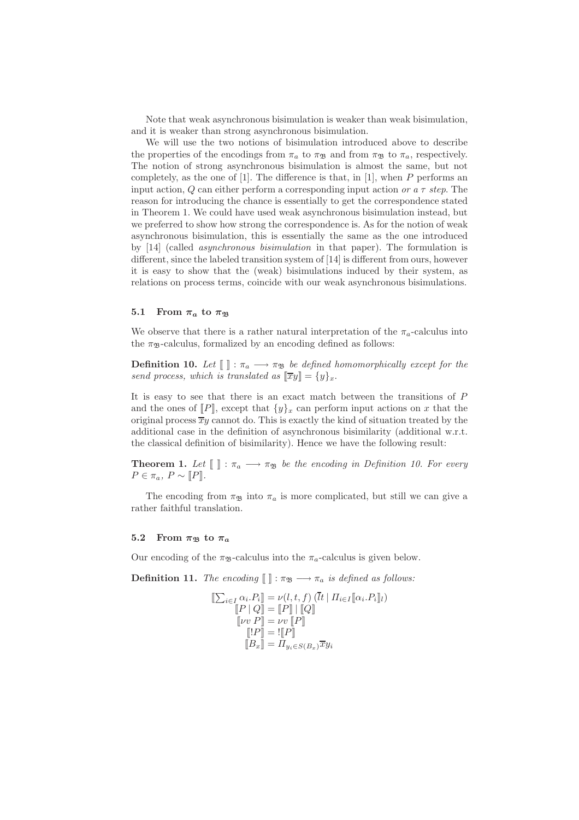Note that weak asynchronous bisimulation is weaker than weak bisimulation, and it is weaker than strong asynchronous bisimulation.

We will use the two notions of bisimulation introduced above to describe the properties of the encodings from  $\pi_a$  to  $\pi_{\mathfrak{B}}$  and from  $\pi_{\mathfrak{B}}$  to  $\pi_a$ , respectively. The notion of strong asynchronous bisimulation is almost the same, but not completely, as the one of [1]. The difference is that, in [1], when  $P$  performs an input action, Q can either perform a corresponding input action *or a* τ *step*. The reason for introducing the chance is essentially to get the correspondence stated in Theorem 1. We could have used weak asynchronous bisimulation instead, but we preferred to show how strong the correspondence is. As for the notion of weak asynchronous bisimulation, this is essentially the same as the one introduced by [14] (called *asynchronous bisimulation* in that paper). The formulation is different, since the labeled transition system of [14] is different from ours, however it is easy to show that the (weak) bisimulations induced by their system, as relations on process terms, coincide with our weak asynchronous bisimulations.

#### 5.1 From  $\pi_a$  to  $\pi_{\mathfrak{B}}$

We observe that there is a rather natural interpretation of the  $\pi_a$ -calculus into the  $\pi_{\mathfrak{B}}$ -calculus, formalized by an encoding defined as follows:

**Definition 10.** Let  $\llbracket \rrbracket : \pi_a \longrightarrow \pi_{\mathfrak{B}}$  be defined homomorphically except for the *send process, which is translated as*  $[\overline{xy}] = \{y\}_x$ .

It is easy to see that there is an exact match between the transitions of  $P$ and the ones of  $[P]$ , except that  $\{y\}_x$  can perform input actions on x that the original process  $\overline{xy}$  cannot do. This is exactly the kind of situation treated by the additional case in the definition of asynchronous bisimilarity (additional w.r.t. the classical definition of bisimilarity). Hence we have the following result:

**Theorem 1.** Let  $\llbracket \rrbracket$  :  $\pi_a \longrightarrow \pi_{\mathfrak{B}}$  be the encoding in Definition 10. For every  $P \in \pi_a$ ,  $P \sim [P]$ *.* 

The encoding from  $\pi_{\mathfrak{B}}$  into  $\pi_a$  is more complicated, but still we can give a rather faithful translation.

#### 5.2 From  $\pi_{\mathfrak{B}}$  to  $\pi_a$

Our encoding of the  $\pi_{\mathcal{B}}$ -calculus into the  $\pi_a$ -calculus is given below.

**Definition 11.** *The encoding*  $\llbracket \cdot \rrbracket : \pi_{\mathfrak{B}} \longrightarrow \pi_a$  *is defined as follows:* 

$$
\begin{aligned} \llbracket \sum_{i \in I} \alpha_i P_i \rrbracket &= \nu(l, t, f) \left( \bar{l}t \mid \Pi_{i \in I} \llbracket \alpha_i P_i \rrbracket_l \right) \\ \llbracket P \mid Q \rrbracket &= \llbracket P \rrbracket \mid \llbracket Q \rrbracket \\ \llbracket \nu v \mid P \rrbracket &= \nu v \llbracket P \rrbracket \\ \llbracket \lbrack P \rrbracket &= \mathbb{I} \llbracket P \rrbracket \\ \llbracket B_x \rrbracket &= \Pi_{y_i \in S(B_x)} \overline{x} y_i \end{aligned}
$$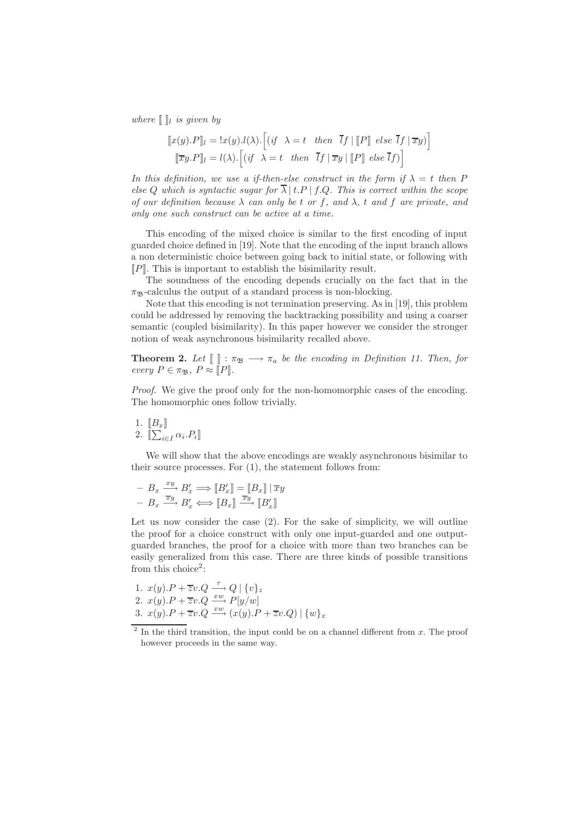*where*  $\llbracket \cdot \rrbracket_i$  *is given by* 

$$
[\![x(y).P]\!]_l = !x(y).l(\lambda).[(if \ \lambda = t \ then \ \overline{l}f \mid [\![P]\!] \ else \ \overline{l}f \mid \overline{x}y]
$$

$$
[\![\overline{x}y.P]\!]_l = l(\lambda).[(if \ \lambda = t \ then \ \overline{l}f \mid \overline{x}y \mid [\![P]\!] \ else \ \overline{l}f)]
$$

*In this definition, we use a if-then-else construct in the form if*  $\lambda = t$  *then* P *else* Q *which is syntactic sugar for*  $\overline{\lambda}$  | t.P | f.Q. This is correct within the scope *of our definition because*  $\lambda$  *can only be t or f, and*  $\lambda$ *, t and f are private, and only one such construct can be active at a time.*

This encoding of the mixed choice is similar to the first encoding of input guarded choice defined in [19]. Note that the encoding of the input branch allows a non deterministic choice between going back to initial state, or following with  $\llbracket P \rrbracket$ . This is important to establish the bisimilarity result.

The soundness of the encoding depends crucially on the fact that in the  $\pi_{\mathfrak{B}}$ -calculus the output of a standard process is non-blocking.

Note that this encoding is not termination preserving. As in [19], this problem could be addressed by removing the backtracking possibility and using a coarser semantic (coupled bisimilarity). In this paper however we consider the stronger notion of weak asynchronous bisimilarity recalled above.

**Theorem 2.** Let  $\llbracket \cdot \rrbracket$  :  $\pi_{\mathfrak{B}} \longrightarrow \pi_a$  be the encoding in Definition 11. Then, for *every*  $P \in \pi_{\mathfrak{B}}$ ,  $P \approx \overline{[P]}$ .

*Proof.* We give the proof only for the non-homomorphic cases of the encoding. The homomorphic ones follow trivially.

1.  $\llbracket B_x \rrbracket$ 2.  $\llbracket \sum_{i \in I} \alpha_i P_i \rrbracket$ 

We will show that the above encodings are weakly asynchronous bisimilar to their source processes. For (1), the statement follows from:

$$
\begin{array}{c}\n-B_x \xrightarrow{xy} B'_x \Longrightarrow [B'_x] = [B_x] \mid \overline{x}y \\
-B_x \xrightarrow{\overline{x}y} B'_x \Longleftrightarrow [B_x] \xrightarrow{\overline{x}y} [B'_x]\n\end{array}
$$

Let us now consider the case (2). For the sake of simplicity, we will outline the proof for a choice construct with only one input-guarded and one outputguarded branches, the proof for a choice with more than two branches can be easily generalized from this case. There are three kinds of possible transitions from this choice<sup>2</sup>:

1. 
$$
x(y).P + \overline{z}v.Q \xrightarrow{\tau} Q | \{v\}_z
$$
  
\n2.  $x(y).P + \overline{z}v.Q \xrightarrow{xw} P[y/w]$   
\n3.  $x(y).P + \overline{z}v.Q \xrightarrow{xw} (x(y).P + \overline{z}v.Q) | \{w\}_x$ 

<sup>&</sup>lt;sup>2</sup> In the third transition, the input could be on a channel different from  $x$ . The proof however proceeds in the same way.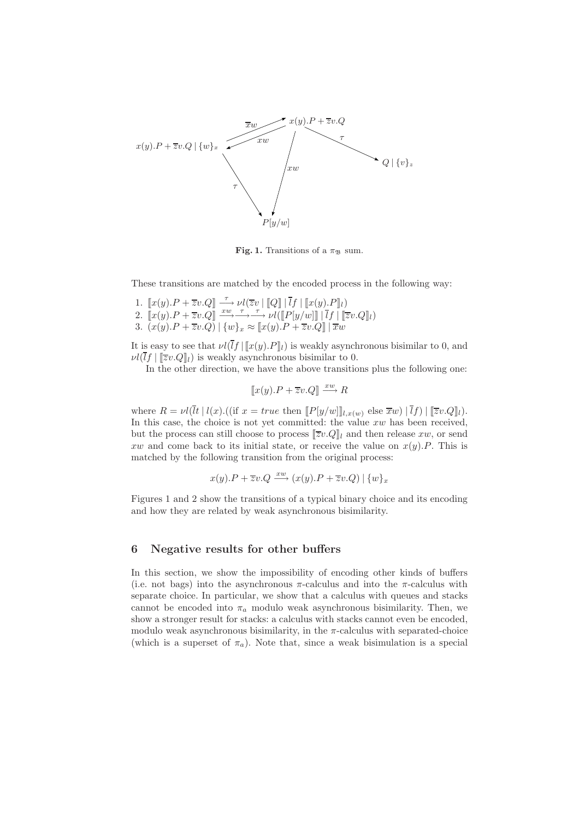

Fig. 1. Transitions of a  $\pi_{\mathfrak{B}}$  sum.

These transitions are matched by the encoded process in the following way:

1.  $\llbracket x(y).P + \overline{z}v.Q \rrbracket \stackrel{\tau}{\longrightarrow} \nu l(\overline{z}v \mid \llbracket Q \rrbracket \mid \overline{l}f \mid \llbracket x(y).P \rrbracket_l)$ 2.  $\llbracket x(y).P + \overline{z}v.Q \rrbracket \xrightarrow{xw} \longrightarrow \longrightarrow \nu l(\llbracket P[y/w] \rrbracket | \overline{l}f | \llbracket \overline{z}v.Q \rrbracket_l)$ 3.  $(x(y).P + \overline{z}v.Q) | \{w\}_x \approx [x(y).P + \overline{z}v.Q] | \overline{x}w$ 

It is easy to see that  $\nu\ell(\bar{I}f | [x(y),P]_l)$  is weakly asynchronous bisimilar to 0, and  $\nu\ell(\bar{l}f | \llbracket \overline{z}v.Q \rrbracket_l)$  is weakly asynchronous bisimilar to 0.

In the other direction, we have the above transitions plus the following one:

 $\llbracket x(y).P + \overline{z}v.Q \rrbracket \stackrel{xw}{\longrightarrow} R$ 

where  $R = \nu l(\bar{l}t \mid l(x)$ . ((if  $x = true$  then  $[ P[y/w]]_{l,x(w)}$  else  $\bar{x}w) | \bar{l}f) | [\bar{z}v.Q]_{l}$ ). In this case, the choice is not yet committed: the value xw has been received, but the process can still choose to process  $\llbracket \overline{z}v.Q \rrbracket_l$  and then release xw, or send xw and come back to its initial state, or receive the value on  $x(y)$ . This is matched by the following transition from the original process:

$$
x(y).P + \overline{z}v.Q \xrightarrow{xw} (x(y).P + \overline{z}v.Q) | \{w\}_x
$$

Figures 1 and 2 show the transitions of a typical binary choice and its encoding and how they are related by weak asynchronous bisimilarity.

## 6 Negative results for other buffers

In this section, we show the impossibility of encoding other kinds of buffers (i.e. not bags) into the asynchronous  $\pi$ -calculus and into the  $\pi$ -calculus with separate choice. In particular, we show that a calculus with queues and stacks cannot be encoded into  $\pi_a$  modulo weak asynchronous bisimilarity. Then, we show a stronger result for stacks: a calculus with stacks cannot even be encoded, modulo weak asynchronous bisimilarity, in the  $\pi$ -calculus with separated-choice (which is a superset of  $\pi_a$ ). Note that, since a weak bisimulation is a special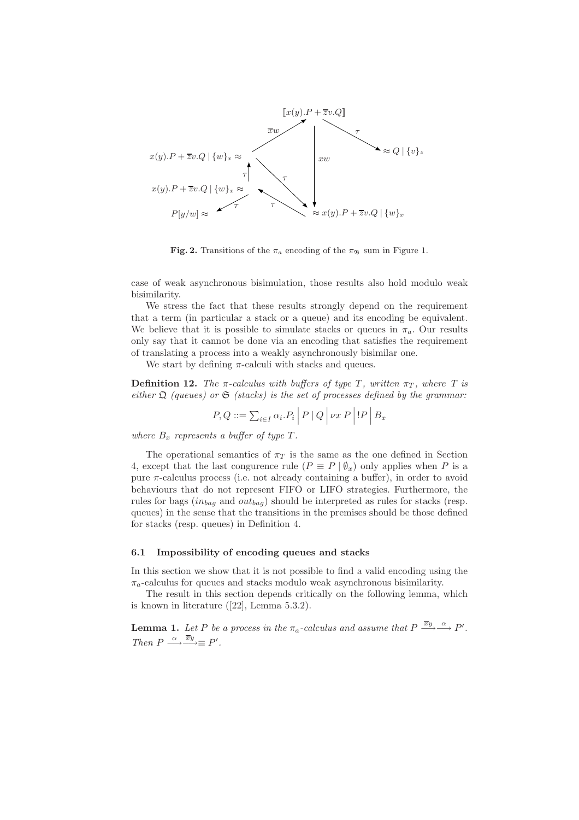

Fig. 2. Transitions of the  $\pi_a$  encoding of the  $\pi_{\mathcal{B}}$  sum in Figure 1.

case of weak asynchronous bisimulation, those results also hold modulo weak bisimilarity.

We stress the fact that these results strongly depend on the requirement that a term (in particular a stack or a queue) and its encoding be equivalent. We believe that it is possible to simulate stacks or queues in  $\pi_a$ . Our results only say that it cannot be done via an encoding that satisfies the requirement of translating a process into a weakly asynchronously bisimilar one.

We start by defining  $\pi$ -calculi with stacks and queues.

**Definition 12.** *The*  $\pi$ -calculus with buffers of type T, written  $\pi_T$ , where T is *either*  $\Omega$  *(queues) or*  $\mathfrak{S}$  *(stacks) is the set of processes defined by the grammar:* 

$$
P, Q ::= \sum_{i \in I} \alpha_i P_i \mid P \mid Q \mid \nu x P \mid P \mid B_x
$$

*where*  $B_x$  *represents* a buffer of type  $T$ .

The operational semantics of  $\pi_T$  is the same as the one defined in Section 4, except that the last congurence rule  $(P \equiv P | \emptyset_x)$  only applies when P is a pure π-calculus process (i.e. not already containing a buffer), in order to avoid behaviours that do not represent FIFO or LIFO strategies. Furthermore, the rules for bags  $(in_{bag}$  and  $out_{bag})$  should be interpreted as rules for stacks (resp. queues) in the sense that the transitions in the premises should be those defined for stacks (resp. queues) in Definition 4.

#### 6.1 Impossibility of encoding queues and stacks

In this section we show that it is not possible to find a valid encoding using the  $\pi_a$ -calculus for queues and stacks modulo weak asynchronous bisimilarity.

The result in this section depends critically on the following lemma, which is known in literature ([22], Lemma 5.3.2).

**Lemma 1.** Let P be a process in the  $\pi_a$ -calculus and assume that  $P \xrightarrow{\overline{x}y} \xrightarrow{\alpha} P'$ . Then  $P \xrightarrow{\alpha} \overline{x}y \equiv P'$ .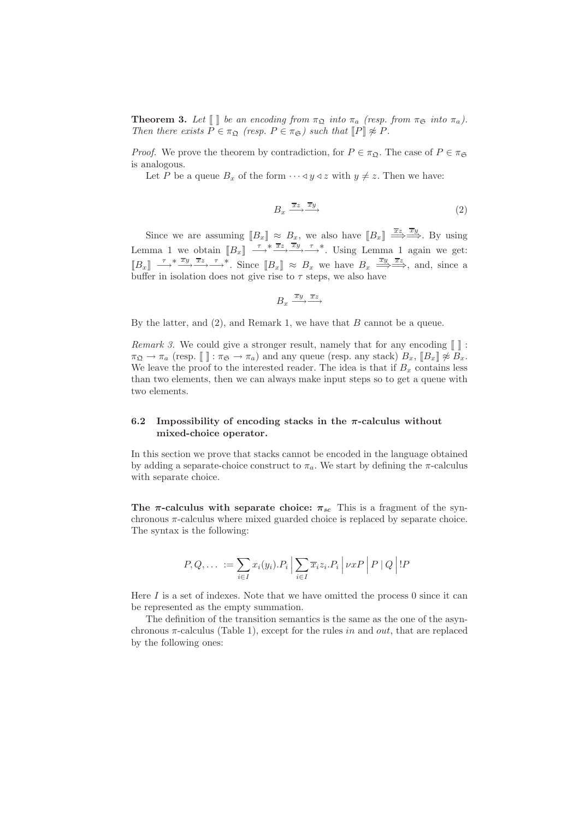**Theorem 3.** Let  $[\ ]$  be an encoding from  $\pi_{\mathfrak{Q}}$  *into*  $\pi_a$  (resp. from  $\pi_{\mathfrak{S}}$  *into*  $\pi_a$ ). *Then there exists*  $P \in \pi_{\mathfrak{Q}}$  *(resp.*  $P \in \pi_{\mathfrak{S}}$ *) such that*  $\llbracket P \rrbracket \not\approx P$ *.* 

*Proof.* We prove the theorem by contradiction, for  $P \in \pi_{\mathfrak{Q}}$ . The case of  $P \in \pi_{\mathfrak{S}}$ is analogous.

Let P be a queue  $B_x$  of the form  $\cdots \triangleleft y \triangleleft z$  with  $y \neq z$ . Then we have:

$$
B_x \xrightarrow{\overline{x}z} \overline{y} \tag{2}
$$

Since we are assuming  $[[B_x]] \approx B_x$ , we also have  $[[B_x]] \stackrel{\overline{xz}}{\Longrightarrow} \stackrel{\overline{xy}}{\Longrightarrow}$ . By using Lemma 1 we obtain  $[[B_x]] \longrightarrow^* \frac{\overline{x}z}{\longrightarrow} \frac{\overline{x}y}{\longrightarrow} \frac{\tau}{\longrightarrow}^*$ . Using Lemma 1 again we get:  $[B_x] \stackrel{\tau}{\longrightarrow}^* \stackrel{\overline{x}_y}{\longrightarrow} \stackrel{\overline{x}_z}{\longrightarrow}^*$ . Since  $[B_x] \approx B_x$  we have  $B_x \stackrel{\overline{x}_y}{\Longrightarrow} \stackrel{\overline{x}_z}{\longrightarrow}^*$ , and, since a buffer in isolation does not give rise to  $\tau$  steps, we also have

$$
B_x \xrightarrow{\overline{x}y} \xrightarrow{\overline{x}z}
$$

By the latter, and  $(2)$ , and Remark 1, we have that B cannot be a queue.

*Remark 3.* We could give a stronger result, namely that for any encoding  $\llbracket \cdot \rrbracket$ :  $\pi_{\mathfrak{Q}} \to \pi_a$  (resp.  $\llbracket \cdot \rrbracket : \pi_{\mathfrak{S}} \to \pi_a$ ) and any queue (resp. any stack)  $B_x$ ,  $\llbracket B_x \rrbracket \not\approx \overline{B}_x$ . We leave the proof to the interested reader. The idea is that if  $B<sub>x</sub>$  contains less than two elements, then we can always make input steps so to get a queue with two elements.

## 6.2 Impossibility of encoding stacks in the  $\pi$ -calculus without mixed-choice operator.

In this section we prove that stacks cannot be encoded in the language obtained by adding a separate-choice construct to  $\pi_a$ . We start by defining the  $\pi$ -calculus with separate choice.

The  $\pi$ -calculus with separate choice:  $\pi_{sc}$  This is a fragment of the synchronous π-calculus where mixed guarded choice is replaced by separate choice. The syntax is the following:

$$
P, Q, \ldots := \sum_{i \in I} x_i(y_i).P_i \left| \sum_{i \in I} \overline{x_i} z_i.P_i \right| \nu x P \left| P \left| Q \right| !P \right|
$$

Here  $I$  is a set of indexes. Note that we have omitted the process 0 since it can be represented as the empty summation.

The definition of the transition semantics is the same as the one of the asynchronous  $\pi$ -calculus (Table 1), except for the rules in and *out*, that are replaced by the following ones: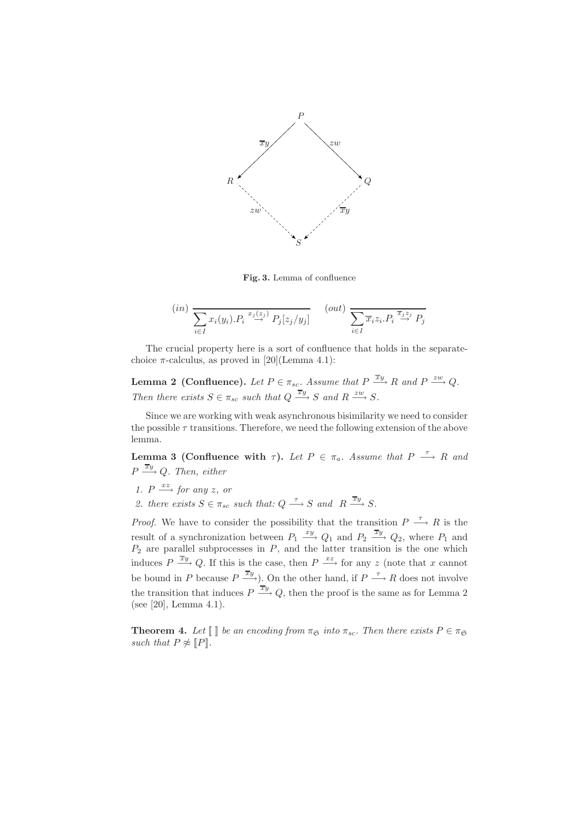

Fig. 3. Lemma of confluence

$$
(in) \sum_{i \in I} x_i(y_i).P_i \stackrel{x_j(z_j)}{\rightarrow} P_j[z_j/y_j] \qquad (out) \sum_{i \in I} \overline{x_i} z_i.P_i \stackrel{\overline{x_j z_j}}{\rightarrow} P_j
$$

The crucial property here is a sort of confluence that holds in the separatechoice  $\pi$ -calculus, as proved in [20](Lemma 4.1):

**Lemma 2** (Confluence). Let  $P \in \pi_{sc}$ . Assume that  $P \stackrel{\overline{x}y}{\longrightarrow} R$  and  $P \stackrel{zw}{\longrightarrow} Q$ . *Then there exists*  $S \in \pi_{sc}$  *such that*  $Q \xrightarrow{\overline{x}y} S$  *and*  $R \xrightarrow{zw} S$ *.* 

Since we are working with weak asynchronous bisimilarity we need to consider the possible  $\tau$  transitions. Therefore, we need the following extension of the above lemma.

**Lemma 3 (Confluence with**  $\tau$ ). Let  $P \in \pi_a$ . Assume that  $P \stackrel{\tau}{\longrightarrow} R$  and  $P \stackrel{\overline{xy}}{\longrightarrow} Q$ . Then, either

- *1.*  $P \xrightarrow{xz} for any z, or$
- 2. there exists  $S \in \pi_{sc}$  such that:  $Q \xrightarrow{\tau} S$  and  $R \xrightarrow{\overline{x}y} S$ .

*Proof.* We have to consider the possibility that the transition  $P \longrightarrow R$  is the result of a synchronization between  $P_1 \stackrel{xy}{\longrightarrow} Q_1$  and  $P_2 \stackrel{\overline{x}y}{\longrightarrow} Q_2$ , where  $P_1$  and  $P_2$  are parallel subprocesses in  $P$ , and the latter transition is the one which induces  $P \stackrel{\overline{x}y}{\longrightarrow} Q$ . If this is the case, then  $P \stackrel{xz}{\longrightarrow}$  for any z (note that x cannot be bound in P because  $P \stackrel{\overline{x}y}{\longrightarrow}$ ). On the other hand, if  $P \stackrel{\tau}{\longrightarrow} R$  does not involve the transition that induces  $P \stackrel{\overline{xy}}{\longrightarrow} Q$ , then the proof is the same as for Lemma 2 (see [20], Lemma 4.1).

**Theorem 4.** Let  $\llbracket \ \rrbracket$  be an encoding from  $\pi_{\mathfrak{S}}$  into  $\pi_{sc}$ . Then there exists  $P \in \pi_{\mathfrak{S}}$ *such that*  $P \not\approx [P]$ *.*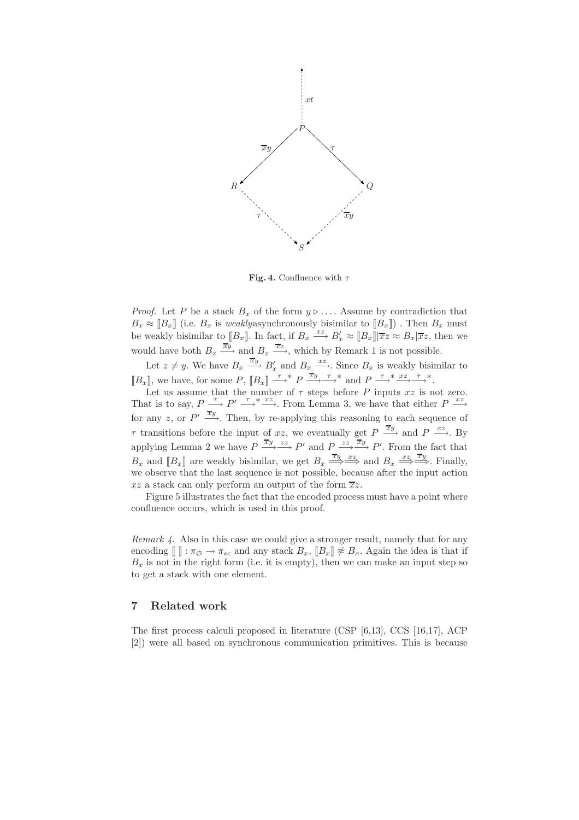

Fig. 4. Confluence with  $\tau$ 

*Proof.* Let P be a stack  $B_x$  of the form  $y \triangleright \ldots$  Assume by contradiction that  $B_x \approx [B_x]$  (i.e.  $B_x$  is *weaklyasynchronously bisimilar to*  $[B_x]$ ). Then  $B_x$  must be weakly bisimilar to  $[[B_x]]$ . In fact, if  $B_x \stackrel{xz}{\longrightarrow} B'_x \approx [[B_x]] \overline{xz} \approx B_x | \overline{xz}$ , then we would have both  $B_x \xrightarrow{\overline{x}_y}$  and  $B_x \xrightarrow{\overline{x}_z}$ , which by Remark 1 is not possible.

Let  $z \neq y$ . We have  $B_x \xrightarrow{\overline{x}y} B'_x$  and  $B_x \xrightarrow{xz}$ . Since  $B_x$  is weakly bisimilar to  $[[B_x]],$  we have, for some  $P$ ,  $[[B_x]] \xrightarrow{\tau} P \xrightarrow{\overline{xy}} \xrightarrow{\tau}^*$  and  $P \xrightarrow{\tau}^* \xrightarrow{xz} \xrightarrow{\tau}^*$ .

Let us assume that the number of  $\tau$  steps before P inputs  $xz$  is not zero. That is to say,  $P \stackrel{\tau}{\longrightarrow} P' \stackrel{\tau}{\longrightarrow} \stackrel{*}{\longrightarrow}$ . From Lemma 3, we have that either  $P \stackrel{xz}{\longrightarrow}$ for any z, or  $P' \xrightarrow{\overline{xy}}$ . Then, by re-applying this reasoning to each sequence of  $\tau$  transitions before the input of xz, we eventually get  $P \stackrel{\overline{x}y}{\longrightarrow}$  and  $P \stackrel{xz}{\longrightarrow}$ . By applying Lemma 2 we have  $P \xrightarrow{\overline{x}y} \xrightarrow{zz} P'$  and  $P \xrightarrow{zz} \overline{x}y$   $P'$ . From the fact that  $B_x$  and  $[[B_x]]$  are weakly bisimilar, we get  $B_x \stackrel{\overline{xy}}{\Longrightarrow} \stackrel{xz}{\Longrightarrow}$  and  $B_x \stackrel{xz}{\Longrightarrow} \stackrel{\overline{xy}}{\Longrightarrow}$ . Finally, we observe that the last sequence is not possible, because after the input action  $xz$  a stack can only perform an output of the form  $\overline{x}z$ .

Figure 5 illustrates the fact that the encoded process must have a point where confluence occurs, which is used in this proof.

*Remark 4.* Also in this case we could give a stronger result, namely that for any encoding  $\llbracket \cdot \rrbracket : \pi_{\mathfrak{S}} \to \pi_{sc}$  and any stack  $B_x$ ,  $\llbracket B_x \rrbracket \not\approx B_x$ . Again the idea is that if  $B_x$  is not in the right form (i.e. it is empty), then we can make an input step so to get a stack with one element.

### 7 Related work

The first process calculi proposed in literature (CSP [6,13], CCS [16,17], ACP [2]) were all based on synchronous communication primitives. This is because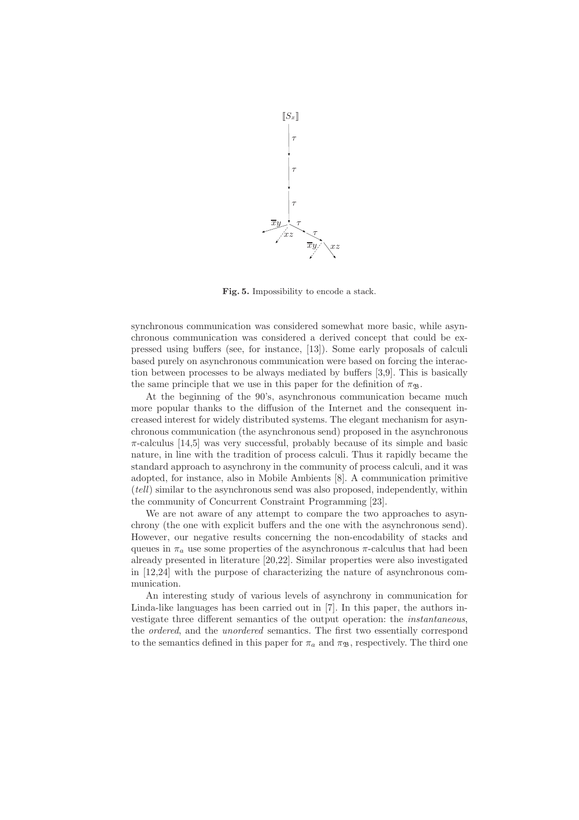

Fig. 5. Impossibility to encode a stack.

synchronous communication was considered somewhat more basic, while asynchronous communication was considered a derived concept that could be expressed using buffers (see, for instance, [13]). Some early proposals of calculi based purely on asynchronous communication were based on forcing the interaction between processes to be always mediated by buffers [3,9]. This is basically the same principle that we use in this paper for the definition of  $\pi_{\mathfrak{B}}$ .

At the beginning of the 90's, asynchronous communication became much more popular thanks to the diffusion of the Internet and the consequent increased interest for widely distributed systems. The elegant mechanism for asynchronous communication (the asynchronous send) proposed in the asynchronous  $\pi$ -calculus [14,5] was very successful, probably because of its simple and basic nature, in line with the tradition of process calculi. Thus it rapidly became the standard approach to asynchrony in the community of process calculi, and it was adopted, for instance, also in Mobile Ambients [8]. A communication primitive (*tell*) similar to the asynchronous send was also proposed, independently, within the community of Concurrent Constraint Programming [23].

We are not aware of any attempt to compare the two approaches to asynchrony (the one with explicit buffers and the one with the asynchronous send). However, our negative results concerning the non-encodability of stacks and queues in  $\pi_a$  use some properties of the asynchronous  $\pi$ -calculus that had been already presented in literature [20,22]. Similar properties were also investigated in [12,24] with the purpose of characterizing the nature of asynchronous communication.

An interesting study of various levels of asynchrony in communication for Linda-like languages has been carried out in [7]. In this paper, the authors investigate three different semantics of the output operation: the *instantaneous*, the *ordered*, and the *unordered* semantics. The first two essentially correspond to the semantics defined in this paper for  $\pi_a$  and  $\pi_{\mathfrak{B}}$ , respectively. The third one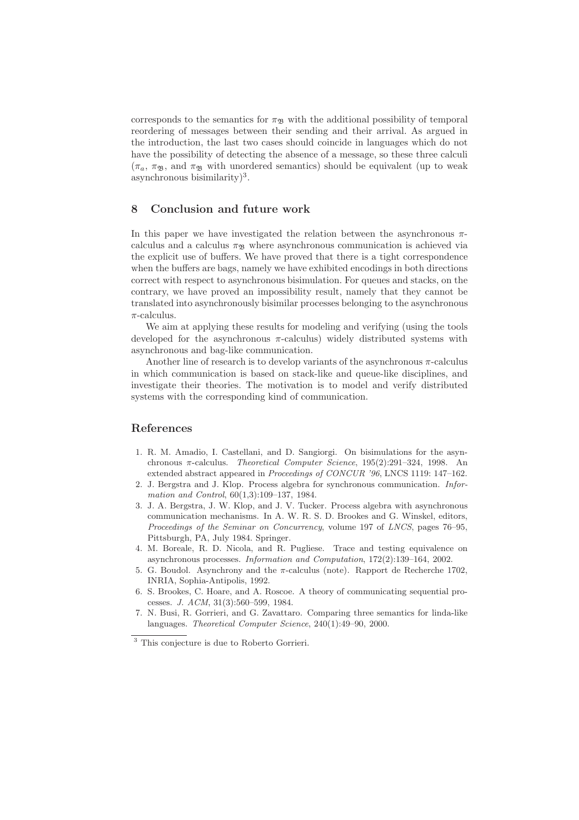corresponds to the semantics for  $\pi_{\mathfrak{B}}$  with the additional possibility of temporal reordering of messages between their sending and their arrival. As argued in the introduction, the last two cases should coincide in languages which do not have the possibility of detecting the absence of a message, so these three calculi  $(\pi_a, \pi_B, \text{ and } \pi_B, \text{ with unordered semantics})$  should be equivalent (up to weak asynchronous bisimilarity $)^3$ .

# 8 Conclusion and future work

In this paper we have investigated the relation between the asynchronous  $\pi$ calculus and a calculus  $\pi_{\mathfrak{B}}$  where asynchronous communication is achieved via the explicit use of buffers. We have proved that there is a tight correspondence when the buffers are bags, namely we have exhibited encodings in both directions correct with respect to asynchronous bisimulation. For queues and stacks, on the contrary, we have proved an impossibility result, namely that they cannot be translated into asynchronously bisimilar processes belonging to the asynchronous  $\pi$ -calculus.

We aim at applying these results for modeling and verifying (using the tools developed for the asynchronous  $\pi$ -calculus) widely distributed systems with asynchronous and bag-like communication.

Another line of research is to develop variants of the asynchronous  $\pi$ -calculus in which communication is based on stack-like and queue-like disciplines, and investigate their theories. The motivation is to model and verify distributed systems with the corresponding kind of communication.

#### References

- 1. R. M. Amadio, I. Castellani, and D. Sangiorgi. On bisimulations for the asynchronous π-calculus. *Theoretical Computer Science*, 195(2):291–324, 1998. An extended abstract appeared in *Proceedings of CONCUR '96*, LNCS 1119: 147–162.
- 2. J. Bergstra and J. Klop. Process algebra for synchronous communication. *Information and Control*, 60(1,3):109–137, 1984.
- 3. J. A. Bergstra, J. W. Klop, and J. V. Tucker. Process algebra with asynchronous communication mechanisms. In A. W. R. S. D. Brookes and G. Winskel, editors, *Proceedings of the Seminar on Concurrency*, volume 197 of *LNCS*, pages 76–95, Pittsburgh, PA, July 1984. Springer.
- 4. M. Boreale, R. D. Nicola, and R. Pugliese. Trace and testing equivalence on asynchronous processes. *Information and Computation*, 172(2):139–164, 2002.
- 5. G. Boudol. Asynchrony and the π-calculus (note). Rapport de Recherche 1702, INRIA, Sophia-Antipolis, 1992.
- 6. S. Brookes, C. Hoare, and A. Roscoe. A theory of communicating sequential processes. *J. ACM*, 31(3):560–599, 1984.
- 7. N. Busi, R. Gorrieri, and G. Zavattaro. Comparing three semantics for linda-like languages. *Theoretical Computer Science*, 240(1):49–90, 2000.

<sup>&</sup>lt;sup>3</sup> This conjecture is due to Roberto Gorrieri.